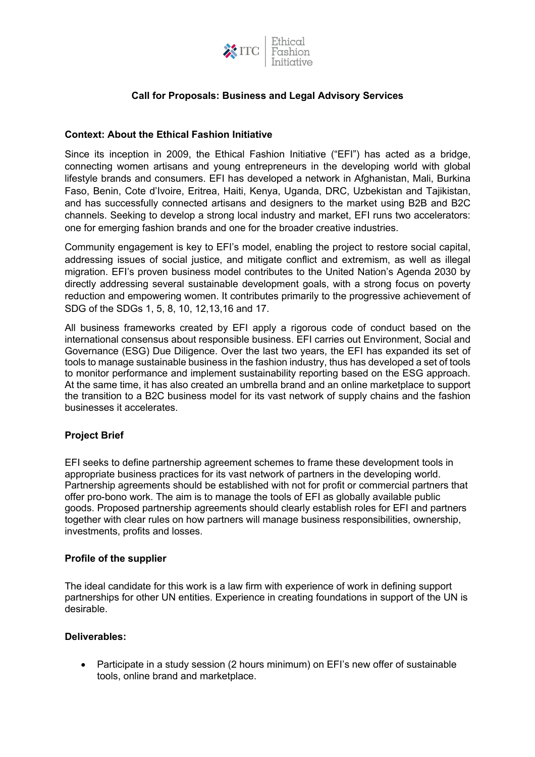

# **Call for Proposals: Business and Legal Advisory Services**

## **Context: About the Ethical Fashion Initiative**

Since its inception in 2009, the Ethical Fashion Initiative ("EFI") has acted as a bridge, connecting women artisans and young entrepreneurs in the developing world with global lifestyle brands and consumers. EFI has developed a network in Afghanistan, Mali, Burkina Faso, Benin, Cote d'Ivoire, Eritrea, Haiti, Kenya, Uganda, DRC, Uzbekistan and Tajikistan, and has successfully connected artisans and designers to the market using B2B and B2C channels. Seeking to develop a strong local industry and market, EFI runs two accelerators: one for emerging fashion brands and one for the broader creative industries.

Community engagement is key to EFI's model, enabling the project to restore social capital, addressing issues of social justice, and mitigate conflict and extremism, as well as illegal migration. EFI's proven business model contributes to the United Nation's Agenda 2030 by directly addressing several sustainable development goals, with a strong focus on poverty reduction and empowering women. It contributes primarily to the progressive achievement of SDG of the SDGs 1, 5, 8, 10, 12,13,16 and 17.

All business frameworks created by EFI apply a rigorous code of conduct based on the international consensus about responsible business. EFI carries out Environment, Social and Governance (ESG) Due Diligence. Over the last two years, the EFI has expanded its set of tools to manage sustainable business in the fashion industry, thus has developed a set of tools to monitor performance and implement sustainability reporting based on the ESG approach. At the same time, it has also created an umbrella brand and an online marketplace to support the transition to a B2C business model for its vast network of supply chains and the fashion businesses it accelerates.

# **Project Brief**

EFI seeks to define partnership agreement schemes to frame these development tools in appropriate business practices for its vast network of partners in the developing world. Partnership agreements should be established with not for profit or commercial partners that offer pro-bono work. The aim is to manage the tools of EFI as globally available public goods. Proposed partnership agreements should clearly establish roles for EFI and partners together with clear rules on how partners will manage business responsibilities, ownership, investments, profits and losses.

### **Profile of the supplier**

The ideal candidate for this work is a law firm with experience of work in defining support partnerships for other UN entities. Experience in creating foundations in support of the UN is desirable.

### **Deliverables:**

• Participate in a study session (2 hours minimum) on EFI's new offer of sustainable tools, online brand and marketplace.